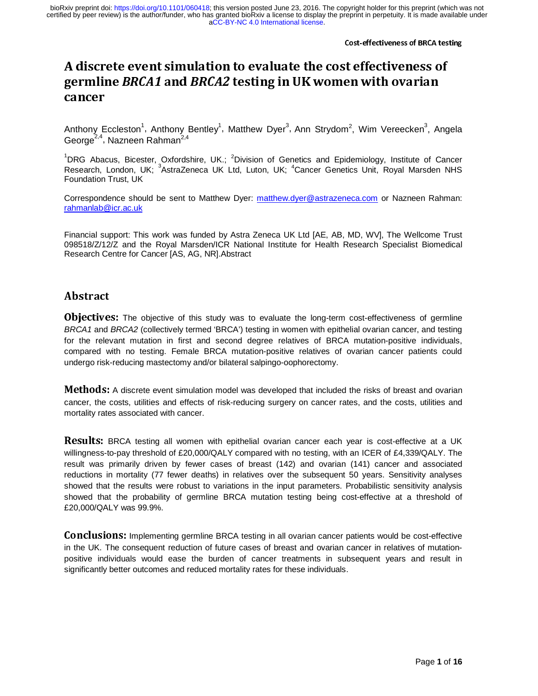## A discrete event simulation to evaluate the cost effectiveness of<br>counting DDC44 and DDC42 tooting in HIZ woman with avanian germine *B*RCA1 and BRCA2 testing in UK women with ovarian<br>cancer cancer

Anthony Eccleston<sup>1</sup>, Anthony Bentley<sup>1</sup>, Matthew Dyer<sup>3</sup>, Ann Strydom<sup>2</sup>, Wim Vereecken<sup>3</sup>, Angela George<sup>2,4</sup>, Nazneen Rahman<sup>2,4</sup>

<sup>1</sup>DRG Abacus, Bicester, Oxfordshire, UK.; <sup>2</sup>Division of Genetics and Epidemiology, Institute of Cancer Research, London, UK; <sup>3</sup>AstraZeneca UK Ltd, Luton, UK; <sup>4</sup>Cancer Genetics Unit, Royal Marsden NHS Foundation Trust, UK

Correspondence should be sent to Matthew Dyer: matthew.dyer@astrazeneca.com or Nazneen Rahman: rahmanlab@icr.ac.uk

Financial support: This work was funded by Astra Zeneca UK Ltd [AE, AB, MD, WV], The Wellcome Trust 098518/Z/12/Z and the Royal Marsden/ICR National Institute for Health Research Specialist Biomedical Research Centre for Cancer [AS, AG, NR].Abstract

# Abstract

**Objectives:** The objective of this study was to evaluate the long-term cost-effectiveness of germline *BRCA1* and *BRCA2* (collectively termed 'BRCA') testing in women with epithelial ovarian cancer, and testing for the relevant mutation in first and second degree relatives of BRCA mutation-positive individuals, compared with no testing. Female BRCA mutation-positive relatives of ovarian cancer patients could undergo risk-reducing mastectomy and/or bilateral salpingo-oophorectomy.

 $\overline{a}$ **Methods:** A discrete event simulation model was developed that included the risks of breast and ovarian<br>concern the costs utilities and effects of rights reducing surgery as agreed atop, and the costs, utilities and cancer, the costs, utilities and effects of risk-reducing surgery on cancer rates, and the costs, utilities and mortality rates associated with cancer.

 $\overline{a}$ **Results:** BRCA testing all women with epithelial ovarian cancer each year is cost-effective at a UK<br>willingnase to now threshold of C20,000/OALX compared with no testing with an ICER of C4,220/OALX. The willingness-to-pay threshold of £20,000/QALY compared with no testing, with an ICER of £4,339/QALY. The result was primarily driven by fewer cases of breast (142) and ovarian (141) cancer and associated reductions in mortality (77 fewer deaths) in relatives over the subsequent 50 years. Sensitivity analyses showed that the results were robust to variations in the input parameters. Probabilistic sensitivity analysis showed that the probability of germline BRCA mutation testing being cost-effective at a threshold of £20,000/QALY was 99.9%.

J Conclusions: Implementing germline BRCA testing in all ovarian cancer patients would be cost-effective<br>in the LIK. The concernent reduction of future cases of breast and ovarian cancer in relatives of mutotion. in the UK. The consequent reduction of future cases of breast and ovarian cancer in relatives of mutationpositive individuals would ease the burden of cancer treatments in subsequent years and result in significantly better outcomes and reduced mortality rates for these individuals.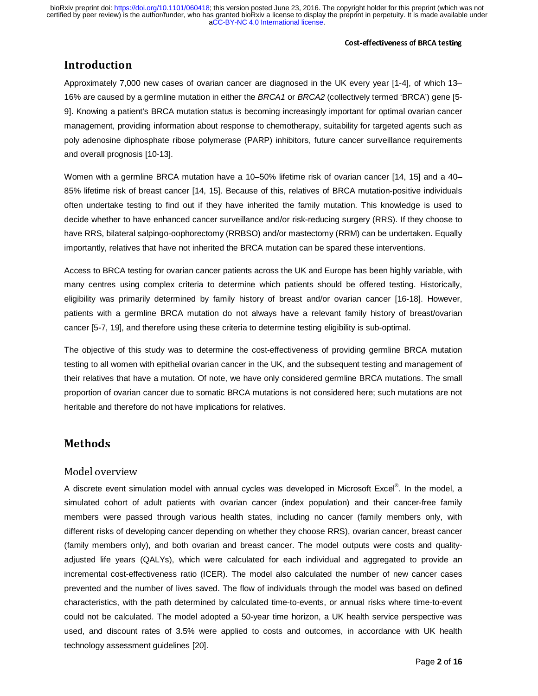#### Cost-effectiveness of BRCA testing

## Introduction

Approximately 7,000 new cases of ovarian cancer are diagnosed in the UK every year [1-4], of which 13– 16% are caused by a germline mutation in either the *BRCA1* or *BRCA2* (collectively termed 'BRCA') gene [5- 9]. Knowing a patient's BRCA mutation status is becoming increasingly important for optimal ovarian cancer management, providing information about response to chemotherapy, suitability for targeted agents such as poly adenosine diphosphate ribose polymerase (PARP) inhibitors, future cancer surveillance requirements and overall prognosis [10-13].

Women with a germline BRCA mutation have a 10–50% lifetime risk of ovarian cancer [14, 15] and a 40– 85% lifetime risk of breast cancer [14, 15]. Because of this, relatives of BRCA mutation-positive individuals often undertake testing to find out if they have inherited the family mutation. This knowledge is used to decide whether to have enhanced cancer surveillance and/or risk-reducing surgery (RRS). If they choose to have RRS, bilateral salpingo-oophorectomy (RRBSO) and/or mastectomy (RRM) can be undertaken. Equally importantly, relatives that have not inherited the BRCA mutation can be spared these interventions.

Access to BRCA testing for ovarian cancer patients across the UK and Europe has been highly variable, with many centres using complex criteria to determine which patients should be offered testing. Historically, eligibility was primarily determined by family history of breast and/or ovarian cancer [16-18]. However, patients with a germline BRCA mutation do not always have a relevant family history of breast/ovarian cancer [5-7, 19], and therefore using these criteria to determine testing eligibility is sub-optimal.

The objective of this study was to determine the cost-effectiveness of providing germline BRCA mutation testing to all women with epithelial ovarian cancer in the UK, and the subsequent testing and management of their relatives that have a mutation. Of note, we have only considered germline BRCA mutations. The small proportion of ovarian cancer due to somatic BRCA mutations is not considered here; such mutations are not heritable and therefore do not have implications for relatives.

#### Model overview

A discrete event simulation model with annual cycles was developed in Microsoft Excel®. In the model, a simulated cohort of adult patients with ovarian cancer (index population) and their cancer-free family members were passed through various health states, including no cancer (family members only, with different risks of developing cancer depending on whether they choose RRS), ovarian cancer, breast cancer (family members only), and both ovarian and breast cancer. The model outputs were costs and qualityadjusted life years (QALYs), which were calculated for each individual and aggregated to provide an incremental cost-effectiveness ratio (ICER). The model also calculated the number of new cancer cases prevented and the number of lives saved. The flow of individuals through the model was based on defined characteristics, with the path determined by calculated time-to-events, or annual risks where time-to-event could not be calculated. The model adopted a 50-year time horizon, a UK health service perspective was used, and discount rates of 3.5% were applied to costs and outcomes, in accordance with UK health technology assessment guidelines [20].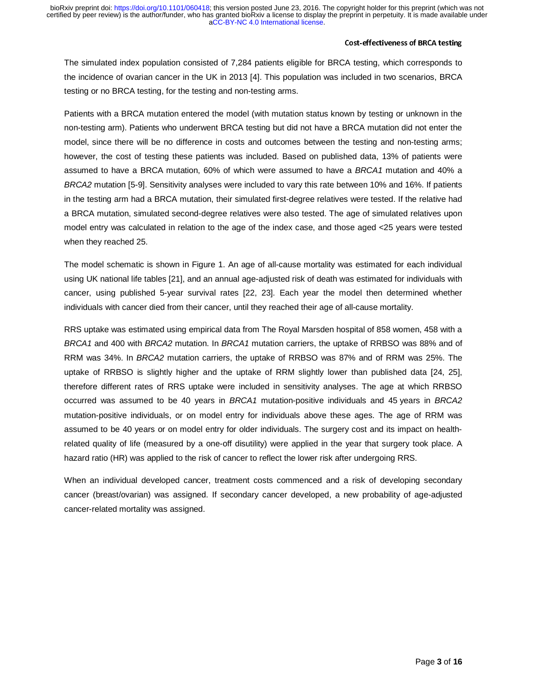#### Cost-effectiveness of BRCA testing

The simulated index population consisted of 7,284 patients eligible for BRCA testing, which corresponds to the incidence of ovarian cancer in the UK in 2013 [4]. This population was included in two scenarios, BRCA testing or no BRCA testing, for the testing and non-testing arms.

Patients with a BRCA mutation entered the model (with mutation status known by testing or unknown in the non-testing arm). Patients who underwent BRCA testing but did not have a BRCA mutation did not enter the model, since there will be no difference in costs and outcomes between the testing and non-testing arms; however, the cost of testing these patients was included. Based on published data, 13% of patients were assumed to have a BRCA mutation, 60% of which were assumed to have a *BRCA1* mutation and 40% a *BRCA2* mutation [5-9]. Sensitivity analyses were included to vary this rate between 10% and 16%. If patients in the testing arm had a BRCA mutation, their simulated first-degree relatives were tested. If the relative had a BRCA mutation, simulated second-degree relatives were also tested. The age of simulated relatives upon model entry was calculated in relation to the age of the index case, and those aged <25 years were tested when they reached 25.

The model schematic is shown in Figure 1. An age of all-cause mortality was estimated for each individual using UK national life tables [21], and an annual age-adjusted risk of death was estimated for individuals with cancer, using published 5-year survival rates [22, 23]. Each year the model then determined whether individuals with cancer died from their cancer, until they reached their age of all-cause mortality.

RRS uptake was estimated using empirical data from The Royal Marsden hospital of 858 women, 458 with a *BRCA1* and 400 with *BRCA2* mutation. In *BRCA1* mutation carriers, the uptake of RRBSO was 88% and of RRM was 34%. In *BRCA2* mutation carriers, the uptake of RRBSO was 87% and of RRM was 25%. The uptake of RRBSO is slightly higher and the uptake of RRM slightly lower than published data [24, 25], therefore different rates of RRS uptake were included in sensitivity analyses. The age at which RRBSO occurred was assumed to be 40 years in *BRCA1* mutation-positive individuals and 45 years in *BRCA2* mutation-positive individuals, or on model entry for individuals above these ages. The age of RRM was assumed to be 40 years or on model entry for older individuals. The surgery cost and its impact on healthrelated quality of life (measured by a one-off disutility) were applied in the year that surgery took place. A hazard ratio (HR) was applied to the risk of cancer to reflect the lower risk after undergoing RRS.

When an individual developed cancer, treatment costs commenced and a risk of developing secondary cancer (breast/ovarian) was assigned. If secondary cancer developed, a new probability of age-adjusted cancer-related mortality was assigned.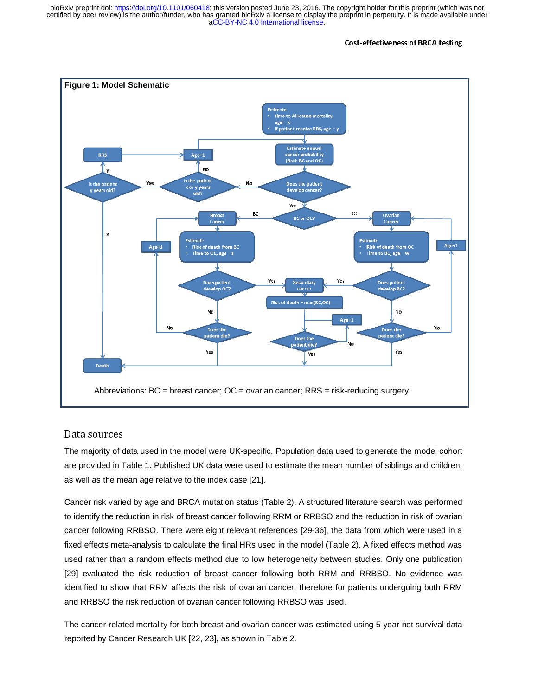#### Cost-effectiveness of BRCA testing



## Data sources de l'altres<br>Data sources

The majority of data used in the model were UK-specific. Population data used to generate the model cohort are provided in Table 1. Published UK data were used to estimate the mean number of siblings and children, as well as the mean age relative to the index case [21].

Cancer risk varied by age and BRCA mutation status (Table 2). A structured literature search was performed to identify the reduction in risk of breast cancer following RRM or RRBSO and the reduction in risk of ovarian cancer following RRBSO. There were eight relevant references [29-36], the data from which were used in a fixed effects meta-analysis to calculate the final HRs used in the model (Table 2). A fixed effects method was used rather than a random effects method due to low heterogeneity between studies. Only one publication [29] evaluated the risk reduction of breast cancer following both RRM and RRBSO. No evidence was identified to show that RRM affects the risk of ovarian cancer; therefore for patients undergoing both RRM and RRBSO the risk reduction of ovarian cancer following RRBSO was used.

The cancer-related mortality for both breast and ovarian cancer was estimated using 5-year net survival data reported by Cancer Research UK [22, 23], as shown in Table 2.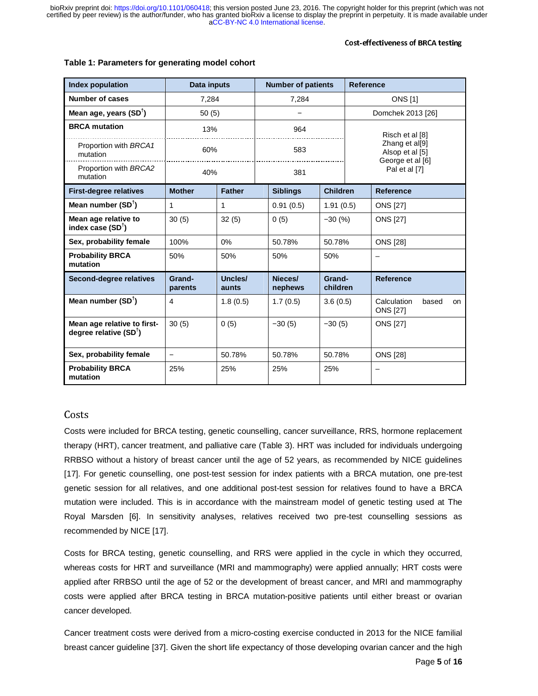| <b>Index population</b>                                         | Data inputs              |                  | <b>Number of patients</b> |                    | <b>Reference</b>                                                         |                                               |  |  |
|-----------------------------------------------------------------|--------------------------|------------------|---------------------------|--------------------|--------------------------------------------------------------------------|-----------------------------------------------|--|--|
| <b>Number of cases</b>                                          | 7,284                    |                  | 7,284                     |                    | <b>ONS</b> [1]                                                           |                                               |  |  |
| Mean age, years (SD <sup>T</sup> )                              | 50(5)                    |                  |                           |                    | Domchek 2013 [26]                                                        |                                               |  |  |
| <b>BRCA</b> mutation                                            | 13%                      |                  | 964                       |                    | Risch et al [8]<br>Zhang et al[9]<br>Alsop et al [5]<br>George et al [6] |                                               |  |  |
| Proportion with BRCA1<br>mutation                               | 60%                      |                  | 583                       |                    |                                                                          |                                               |  |  |
| Proportion with BRCA2<br>mutation                               | 40%                      |                  | 381                       |                    |                                                                          | Pal et al [7]                                 |  |  |
| <b>First-degree relatives</b>                                   | <b>Mother</b>            | <b>Father</b>    | <b>Siblings</b>           | <b>Children</b>    |                                                                          | <b>Reference</b>                              |  |  |
| Mean number $(SD^{\dagger})$                                    | 1                        | 1                | 0.91(0.5)                 | 1.91(0.5)          |                                                                          | <b>ONS [27]</b>                               |  |  |
| Mean age relative to<br>index case $(SD^{\dagger})$             | 30(5)                    | 32(5)            | 0(5)                      | $-30(%)$           |                                                                          | <b>ONS [27]</b>                               |  |  |
| Sex, probability female                                         | 100%                     | $0\%$            | 50.78%                    | 50.78%             |                                                                          | <b>ONS [28]</b>                               |  |  |
| <b>Probability BRCA</b><br>mutation                             | 50%                      | 50%              | 50%                       | 50%                |                                                                          | -                                             |  |  |
| Second-degree relatives                                         | Grand-<br>parents        | Uncles/<br>aunts | Nieces/<br>nephews        | Grand-<br>children |                                                                          | <b>Reference</b>                              |  |  |
| Mean number $(SD^{\dagger})$                                    | $\overline{4}$           | 1.8(0.5)         | 1.7(0.5)                  | 3.6(0.5)           |                                                                          | Calculation<br>based<br>on<br><b>ONS [27]</b> |  |  |
| Mean age relative to first-<br>degree relative $(SD^{\dagger})$ | 30(5)                    | 0(5)             | $-30(5)$                  | $-30(5)$           |                                                                          | <b>ONS</b> [27]                               |  |  |
| Sex, probability female                                         | $\overline{\phantom{0}}$ | 50.78%           | 50.78%                    | 50.78%             |                                                                          | <b>ONS [28]</b>                               |  |  |
| <b>Probability BRCA</b><br>mutation                             | 25%                      | 25%              | 25%                       | 25%                |                                                                          |                                               |  |  |

#### **Table 1: Parameters for generating model cohort**

### Costs

Costs were included for BRCA testing, genetic counselling, cancer surveillance, RRS, hormone replacement therapy (HRT), cancer treatment, and palliative care (Table 3). HRT was included for individuals undergoing RRBSO without a history of breast cancer until the age of 52 years, as recommended by NICE guidelines [17]. For genetic counselling, one post-test session for index patients with a BRCA mutation, one pre-test genetic session for all relatives, and one additional post-test session for relatives found to have a BRCA mutation were included. This is in accordance with the mainstream model of genetic testing used at The Royal Marsden [6]. In sensitivity analyses, relatives received two pre-test counselling sessions as recommended by NICE [17].

Costs for BRCA testing, genetic counselling, and RRS were applied in the cycle in which they occurred, whereas costs for HRT and surveillance (MRI and mammography) were applied annually; HRT costs were applied after RRBSO until the age of 52 or the development of breast cancer, and MRI and mammography costs were applied after BRCA testing in BRCA mutation-positive patients until either breast or ovarian cancer developed.

Cancer treatment costs were derived from a micro-costing exercise conducted in 2013 for the NICE familial breast cancer guideline [37]. Given the short life expectancy of those developing ovarian cancer and the high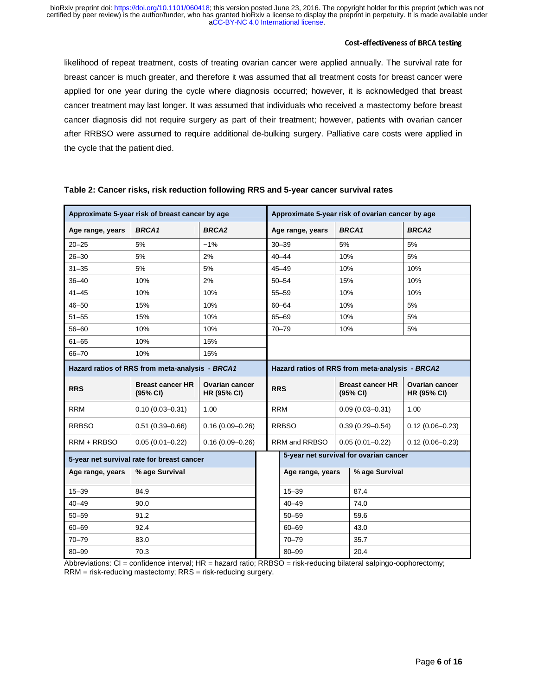#### Cost-effectiveness of BRCA testing

likelihood of repeat treatment, costs of treating ovarian cancer were applied annually. The survival rate for breast cancer is much greater, and therefore it was assumed that all treatment costs for breast cancer were applied for one year during the cycle where diagnosis occurred; however, it is acknowledged that breast cancer treatment may last longer. It was assumed that individuals who received a mastectomy before breast cancer diagnosis did not require surgery as part of their treatment; however, patients with ovarian cancer after RRBSO were assumed to require additional de-bulking surgery. Palliative care costs were applied in the cycle that the patient died.

| Approximate 5-year risk of breast cancer by age |                                                 |                                             |            | Approximate 5-year risk of ovarian cancer by age |                                        |                                             |  |  |  |
|-------------------------------------------------|-------------------------------------------------|---------------------------------------------|------------|--------------------------------------------------|----------------------------------------|---------------------------------------------|--|--|--|
| Age range, years                                | <b>BRCA1</b>                                    | <b>BRCA2</b>                                |            | Age range, years                                 | <b>BRCA1</b>                           | <b>BRCA2</b>                                |  |  |  |
| $20 - 25$                                       | 5%                                              | $-1%$                                       |            | $30 - 39$                                        | 5%                                     | 5%                                          |  |  |  |
| $26 - 30$                                       | 5%                                              | 2%                                          |            | $40 - 44$                                        | 10%                                    | 5%                                          |  |  |  |
| $31 - 35$                                       | 5%                                              | 5%                                          |            | $45 - 49$                                        | 10%                                    | 10%                                         |  |  |  |
| $36 - 40$                                       | 10%                                             | 2%                                          | $50 - 54$  |                                                  | 15%                                    | 10%                                         |  |  |  |
| $41 - 45$                                       | 10%                                             | 10%                                         |            | $55 - 59$                                        | 10%                                    | 10%                                         |  |  |  |
| $46 - 50$                                       | 15%                                             | 10%                                         | $60 - 64$  |                                                  | 10%                                    | 5%                                          |  |  |  |
| $51 - 55$                                       | 15%                                             | 10%                                         | 65-69      |                                                  | 10%                                    | 5%                                          |  |  |  |
| $56 - 60$                                       | 10%                                             | 10%                                         |            | $70 - 79$                                        | 10%                                    | 5%                                          |  |  |  |
| $61 - 65$                                       | 10%<br>15%                                      |                                             |            |                                                  |                                        |                                             |  |  |  |
| 66-70<br>10%<br>15%                             |                                                 |                                             |            |                                                  |                                        |                                             |  |  |  |
|                                                 | Hazard ratios of RRS from meta-analysis - BRCA1 |                                             |            | Hazard ratios of RRS from meta-analysis - BRCA2  |                                        |                                             |  |  |  |
| <b>RRS</b>                                      | <b>Breast cancer HR</b><br>(95% CI)             | <b>Ovarian cancer</b><br><b>HR (95% CI)</b> | <b>RRS</b> |                                                  | <b>Breast cancer HR</b><br>(95% CI)    | <b>Ovarian cancer</b><br><b>HR (95% CI)</b> |  |  |  |
| <b>RRM</b>                                      | $0.10(0.03 - 0.31)$                             | 1.00                                        |            | <b>RRM</b>                                       | $0.09(0.03 - 0.31)$                    | 1.00                                        |  |  |  |
| <b>RRBSO</b>                                    | $0.51(0.39 - 0.66)$                             | $0.16(0.09 - 0.26)$                         |            | <b>RRBSO</b>                                     | $0.39(0.29 - 0.54)$                    | $0.12(0.06 - 0.23)$                         |  |  |  |
| RRM + RRBSO                                     | $0.05(0.01 - 0.22)$                             | $0.16(0.09 - 0.26)$                         |            | RRM and RRBSO                                    | $0.05(0.01 - 0.22)$                    | $0.12(0.06 - 0.23)$                         |  |  |  |
| 5-year net survival rate for breast cancer      |                                                 |                                             |            |                                                  | 5-year net survival for ovarian cancer |                                             |  |  |  |
| Age range, years                                | % age Survival                                  |                                             |            | Age range, years                                 |                                        | % age Survival                              |  |  |  |
| $15 - 39$                                       | 84.9                                            |                                             |            | $15 - 39$                                        | 87.4                                   |                                             |  |  |  |
| $40 - 49$                                       | 90.0                                            |                                             |            | $40 - 49$                                        | 74.0                                   |                                             |  |  |  |
| $50 - 59$                                       | 91.2                                            |                                             |            | $50 - 59$                                        | 59.6                                   |                                             |  |  |  |
| $60 - 69$                                       | 92.4                                            |                                             |            | $60 - 69$                                        | 43.0                                   |                                             |  |  |  |
| $70 - 79$                                       | 83.0                                            |                                             |            | $70 - 79$                                        | 35.7                                   |                                             |  |  |  |
| $80 - 99$                                       | 70.3                                            |                                             |            | $80 - 99$                                        | 20.4                                   |                                             |  |  |  |

#### **Table 2: Cancer risks, risk reduction following RRS and 5-year cancer survival rates**

Abbreviations: CI = confidence interval; HR = hazard ratio; RRBSO = risk-reducing bilateral salpingo-oophorectomy; RRM = risk-reducing mastectomy; RRS = risk-reducing surgery.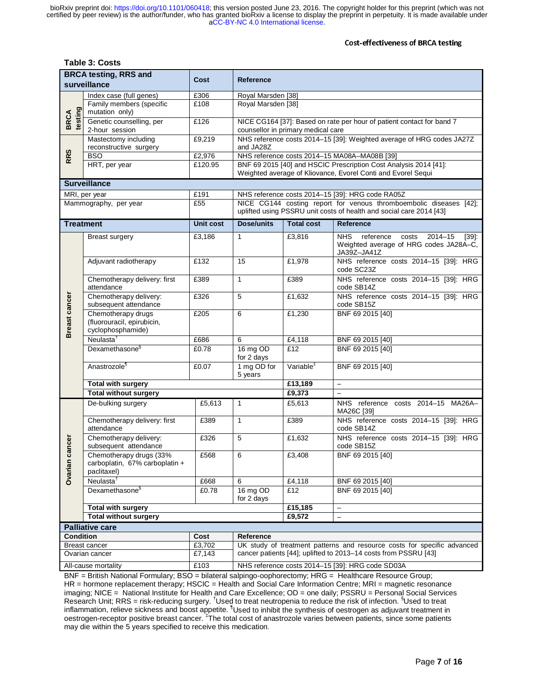#### Cost-effectiveness of BRCA testing

#### **Table 3: Costs**

| <b>BRCA testing, RRS and</b><br>Cost |                                                                          |                  | Reference                                                                                                                        |                         |                                                                                                                                           |  |  |  |
|--------------------------------------|--------------------------------------------------------------------------|------------------|----------------------------------------------------------------------------------------------------------------------------------|-------------------------|-------------------------------------------------------------------------------------------------------------------------------------------|--|--|--|
| surveillance                         |                                                                          |                  |                                                                                                                                  |                         |                                                                                                                                           |  |  |  |
|                                      | Index case (full genes)                                                  | £306             | Royal Marsden [38]                                                                                                               |                         |                                                                                                                                           |  |  |  |
|                                      | Family members (specific<br>mutation only)                               | £108             | Royal Marsden [38]                                                                                                               |                         |                                                                                                                                           |  |  |  |
| testing<br><b>BRCA</b>               | Genetic counselling, per<br>2-hour session                               | £126             | NICE CG164 [37]: Based on rate per hour of patient contact for band 7<br>counsellor in primary medical care                      |                         |                                                                                                                                           |  |  |  |
|                                      | Mastectomy including<br>reconstructive surgery                           | £9,219           | NHS reference costs 2014-15 [39]: Weighted average of HRG codes JA27Z<br>and JA28Z                                               |                         |                                                                                                                                           |  |  |  |
| <b>RRS</b>                           | <b>BSO</b>                                                               | £2,976           | NHS reference costs 2014-15 MA08A-MA08B [39]                                                                                     |                         |                                                                                                                                           |  |  |  |
|                                      | HRT, per year                                                            | £120.95          | BNF 69 2015 [40] and HSCIC Prescription Cost Analysis 2014 [41]:<br>Weighted average of Kliovance, Evorel Conti and Evorel Sequi |                         |                                                                                                                                           |  |  |  |
|                                      | <b>Surveillance</b>                                                      |                  |                                                                                                                                  |                         |                                                                                                                                           |  |  |  |
|                                      | MRI, per year                                                            | £191             | NHS reference costs 2014-15 [39]: HRG code RA05Z                                                                                 |                         |                                                                                                                                           |  |  |  |
|                                      | Mammography, per year                                                    | £55              |                                                                                                                                  |                         | NICE CG144 costing report for venous thromboembolic diseases [42];<br>uplifted using PSSRU unit costs of health and social care 2014 [43] |  |  |  |
| <b>Treatment</b>                     |                                                                          | <b>Unit cost</b> | Dose/units                                                                                                                       | <b>Total cost</b>       | Reference                                                                                                                                 |  |  |  |
|                                      | <b>Breast surgery</b>                                                    | £3,186           | $\mathbf{1}$                                                                                                                     | £3,816                  | <b>NHS</b><br>reference<br>$2014 - 15$<br>costs<br>[39]<br>Weighted average of HRG codes JA28A-C,<br>JA39Z-JA41Z                          |  |  |  |
|                                      | Adjuvant radiotherapy                                                    | £132             | 15                                                                                                                               | £1,978                  | NHS reference costs 2014-15 [39]: HRG<br>code SC23Z                                                                                       |  |  |  |
|                                      | Chemotherapy delivery: first<br>attendance                               | £389             | $\mathbf{1}$                                                                                                                     | £389                    | NHS reference costs 2014-15 [39]: HRG<br>code SB14Z                                                                                       |  |  |  |
|                                      | Chemotherapy delivery:<br>subsequent attendance                          | £326             | 5                                                                                                                                | £1,632                  | NHS reference costs 2014-15 [39]: HRG<br>code SB15Z                                                                                       |  |  |  |
| <b>Breast cancer</b>                 | Chemotherapy drugs<br>(fluorouracil, epirubicin,<br>cyclophosphamide)    | £205             | 6                                                                                                                                | £1,230                  | BNF 69 2015 [40]                                                                                                                          |  |  |  |
|                                      | Neulasta <sup>†</sup>                                                    | £686             | 6                                                                                                                                | £4,118                  | BNF 69 2015 [40]                                                                                                                          |  |  |  |
|                                      | Dexamethasone <sup>§</sup>                                               | £0.78            | 16 mg OD<br>for 2 days                                                                                                           | £12                     | BNF 69 2015 [40]                                                                                                                          |  |  |  |
|                                      | Anastrozole <sup>1</sup>                                                 | £0.07            | Variable <sup>#</sup><br>1 mg OD for<br>BNF 69 2015 [40]<br>5 years                                                              |                         |                                                                                                                                           |  |  |  |
|                                      | Total with surgery                                                       |                  |                                                                                                                                  | £13,189                 | $\equiv$                                                                                                                                  |  |  |  |
| <b>Total without surgery</b>         |                                                                          |                  |                                                                                                                                  | £9,373                  | $\overline{a}$                                                                                                                            |  |  |  |
|                                      | De-bulking surgery                                                       | £5,613           | $\mathbf{1}$                                                                                                                     | £5,613                  | NHS reference costs 2014-15 MA26A-<br>MA26C [39]                                                                                          |  |  |  |
|                                      | Chemotherapy delivery: first<br>attendance                               | £389             | $\mathbf{1}$                                                                                                                     | £389                    | NHS reference costs 2014-15 [39]: HRG<br>code SB14Z                                                                                       |  |  |  |
| cancer                               | Chemotherapy delivery:<br>subsequent attendance                          | £326             | 5                                                                                                                                | £1,632                  | NHS reference costs 2014-15 [39]: HRG<br>code SB15Z                                                                                       |  |  |  |
| Ovarian                              | Chemotherapy drugs (33%<br>carboplatin, 67% carboplatin +<br>paclitaxel) | £568             | 6                                                                                                                                | £3,408                  | BNF 69 2015 [40]                                                                                                                          |  |  |  |
|                                      | Neulasta <sup>†</sup>                                                    | £668             | 6                                                                                                                                | £4,118                  | BNF 69 2015 [40]                                                                                                                          |  |  |  |
|                                      | Dexamethasone <sup>§</sup>                                               | £0.78            | 16 mg OD<br>for 2 days                                                                                                           | £12<br>BNF 69 2015 [40] |                                                                                                                                           |  |  |  |
|                                      | Total with surgery                                                       |                  |                                                                                                                                  | £15,185                 | $\qquad \qquad -$                                                                                                                         |  |  |  |
| <b>Total without surgery</b>         |                                                                          |                  |                                                                                                                                  | £9,572                  | $\qquad \qquad -$                                                                                                                         |  |  |  |
|                                      | <b>Palliative care</b>                                                   |                  |                                                                                                                                  |                         |                                                                                                                                           |  |  |  |
| <b>Condition</b>                     |                                                                          | Cost             | Reference                                                                                                                        |                         |                                                                                                                                           |  |  |  |
|                                      | Breast cancer<br>£3,702                                                  |                  | UK study of treatment patterns and resource costs for specific advanced                                                          |                         |                                                                                                                                           |  |  |  |
| £7,143<br>Ovarian cancer             |                                                                          |                  | cancer patients [44]; uplifted to 2013-14 costs from PSSRU [43]                                                                  |                         |                                                                                                                                           |  |  |  |
| £103<br>All-cause mortality          |                                                                          |                  | NHS reference costs 2014-15 [39]: HRG code SD03A                                                                                 |                         |                                                                                                                                           |  |  |  |

BNF = British National Formulary; BSO = bilateral salpingo-oophorectomy; HRG = Healthcare Resource Group; HR = hormone replacement therapy; HSCIC = Health and Social Care Information Centre; MRI = magnetic resonance imaging; NICE = National Institute for Health and Care Excellence; OD = one daily; PSSRU = Personal Social Services Research Unit; RRS = risk-reducing surgery. <sup>†</sup>Used to treat neutropenia to reduce the risk of infection. <sup>§</sup>Used to treat inflammation, relieve sickness and boost appetite. <sup>1</sup>Used to inhibit the synthesis of oestrogen as adjuvant treatment in oestrogen-receptor positive breast cancer. <sup>‡</sup>The total cost of anastrozole varies between patients, since some patients may die within the 5 years specified to receive this medication.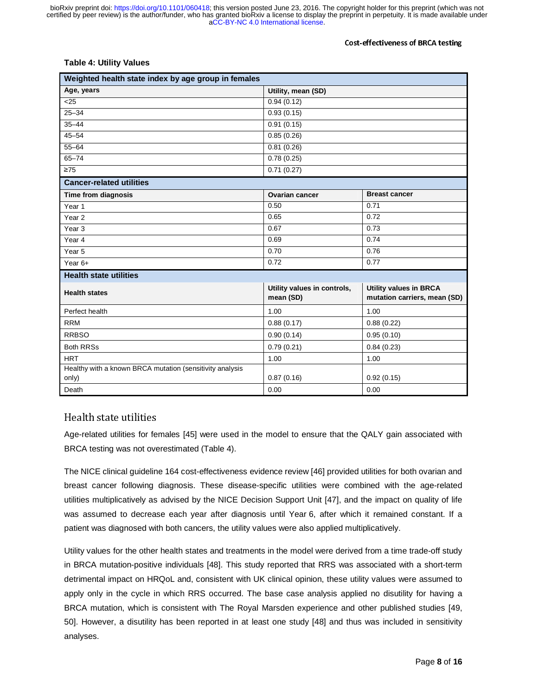#### Cost-effectiveness of BRCA testing

#### **Table 4: Utility Values**

| Weighted health state index by age group in females      |                                          |                                                               |  |  |  |  |  |
|----------------------------------------------------------|------------------------------------------|---------------------------------------------------------------|--|--|--|--|--|
| Age, years                                               | Utility, mean (SD)                       |                                                               |  |  |  |  |  |
| $\overline{25}$                                          | 0.94(0.12)                               |                                                               |  |  |  |  |  |
| $25 - 34$                                                | 0.93(0.15)                               |                                                               |  |  |  |  |  |
| $35 - 44$                                                | 0.91(0.15)                               |                                                               |  |  |  |  |  |
| $45 - 54$                                                | 0.85(0.26)                               |                                                               |  |  |  |  |  |
| $55 - 64$                                                | 0.81(0.26)                               |                                                               |  |  |  |  |  |
| $65 - 74$                                                | 0.78(0.25)                               |                                                               |  |  |  |  |  |
| $\geq 75$                                                | $\overline{0.71}$ (0.27)                 |                                                               |  |  |  |  |  |
| <b>Cancer-related utilities</b>                          |                                          |                                                               |  |  |  |  |  |
| Time from diagnosis                                      | <b>Ovarian cancer</b>                    | <b>Breast cancer</b>                                          |  |  |  |  |  |
| Year 1                                                   | 0.50                                     | 0.71                                                          |  |  |  |  |  |
| Year <sub>2</sub>                                        | 0.65                                     | 0.72                                                          |  |  |  |  |  |
| Year <sub>3</sub>                                        | 0.67                                     | 0.73                                                          |  |  |  |  |  |
| Year <sub>4</sub>                                        | 0.69                                     | 0.74                                                          |  |  |  |  |  |
| Year <sub>5</sub>                                        | 0.70<br>0.76                             |                                                               |  |  |  |  |  |
| Year $6+$                                                | 0.72<br>0.77                             |                                                               |  |  |  |  |  |
| <b>Health state utilities</b>                            |                                          |                                                               |  |  |  |  |  |
| <b>Health states</b>                                     | Utility values in controls,<br>mean (SD) | <b>Utility values in BRCA</b><br>mutation carriers, mean (SD) |  |  |  |  |  |
| Perfect health                                           | 1.00                                     | 1.00                                                          |  |  |  |  |  |
| <b>RRM</b>                                               | 0.88(0.17)                               | 0.88(0.22)                                                    |  |  |  |  |  |
| <b>RRBSO</b>                                             | 0.90(0.14)                               | 0.95(0.10)                                                    |  |  |  |  |  |
| <b>Both RRSs</b>                                         | 0.79(0.21)                               | 0.84(0.23)                                                    |  |  |  |  |  |
| <b>HRT</b>                                               | 1.00                                     | 1.00                                                          |  |  |  |  |  |
| Healthy with a known BRCA mutation (sensitivity analysis |                                          |                                                               |  |  |  |  |  |
| only)                                                    | 0.87(0.16)                               | 0.92(0.15)                                                    |  |  |  |  |  |
| Death                                                    | 0.00                                     | 0.00                                                          |  |  |  |  |  |

#### Health state utilities

Age-related utilities for females [45] were used in the model to ensure that the QALY gain associated with BRCA testing was not overestimated (Table 4).

The NICE clinical guideline 164 cost-effectiveness evidence review [46] provided utilities for both ovarian and breast cancer following diagnosis. These disease-specific utilities were combined with the age-related utilities multiplicatively as advised by the NICE Decision Support Unit [47], and the impact on quality of life was assumed to decrease each year after diagnosis until Year 6, after which it remained constant. If a patient was diagnosed with both cancers, the utility values were also applied multiplicatively.

Utility values for the other health states and treatments in the model were derived from a time trade-off study in BRCA mutation-positive individuals [48]. This study reported that RRS was associated with a short-term detrimental impact on HRQoL and, consistent with UK clinical opinion, these utility values were assumed to apply only in the cycle in which RRS occurred. The base case analysis applied no disutility for having a BRCA mutation, which is consistent with The Royal Marsden experience and other published studies [49, 50]. However, a disutility has been reported in at least one study [48] and thus was included in sensitivity analyses.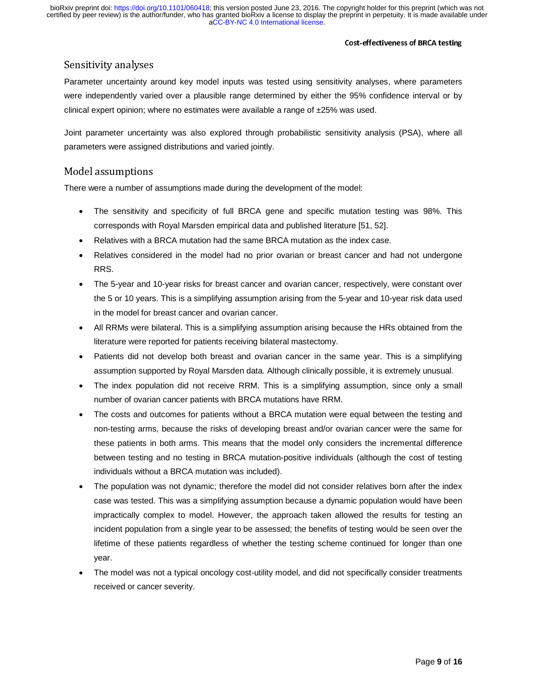### Sensitivity analyses

Parameter uncertainty around key model inputs was tested using sensitivity analyses, where parameters were independently varied over a plausible range determined by either the 95% confidence interval or by clinical expert opinion; where no estimates were available a range of  $\pm 25\%$  was used.

Joint parameter uncertainty was also explored through probabilistic sensitivity analysis (PSA), where all parameters were assigned distributions and varied jointly.

### Model assumptions

There were a number of assumptions made during the development of the model:

- The sensitivity and specificity of full BRCA gene and specific mutation testing was 98%. This corresponds with Royal Marsden empirical data and published literature [51, 52].
- Relatives with a BRCA mutation had the same BRCA mutation as the index case.
- Relatives considered in the model had no prior ovarian or breast cancer and had not undergone RRS.
- The 5-year and 10-year risks for breast cancer and ovarian cancer, respectively, were constant over the 5 or 10 years. This is a simplifying assumption arising from the 5-year and 10-year risk data used in the model for breast cancer and ovarian cancer.
- All RRMs were bilateral. This is a simplifying assumption arising because the HRs obtained from the literature were reported for patients receiving bilateral mastectomy.
- Patients did not develop both breast and ovarian cancer in the same year. This is a simplifying assumption supported by Royal Marsden data. Although clinically possible, it is extremely unusual.
- The index population did not receive RRM. This is a simplifying assumption, since only a small number of ovarian cancer patients with BRCA mutations have RRM.
- The costs and outcomes for patients without a BRCA mutation were equal between the testing and non-testing arms, because the risks of developing breast and/or ovarian cancer were the same for these patients in both arms. This means that the model only considers the incremental difference between testing and no testing in BRCA mutation-positive individuals (although the cost of testing individuals without a BRCA mutation was included).
- The population was not dynamic; therefore the model did not consider relatives born after the index case was tested. This was a simplifying assumption because a dynamic population would have been impractically complex to model. However, the approach taken allowed the results for testing an incident population from a single year to be assessed; the benefits of testing would be seen over the lifetime of these patients regardless of whether the testing scheme continued for longer than one year.
- The model was not a typical oncology cost-utility model, and did not specifically consider treatments received or cancer severity.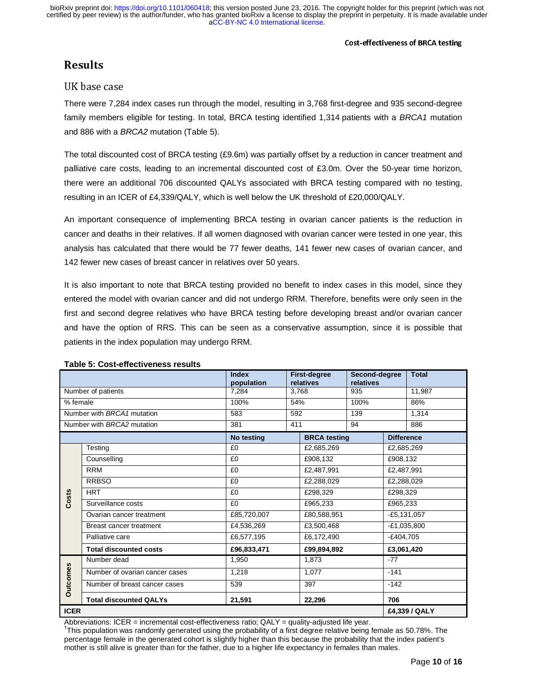### UK base case

There were 7,284 index cases run through the model, resulting in 3,768 first-degree and 935 second-degree family members eligible for testing. In total, BRCA testing identified 1,314 patients with a *BRCA1* mutation and 886 with a *BRCA2* mutation (Table 5).

The total discounted cost of BRCA testing (£9.6m) was partially offset by a reduction in cancer treatment and palliative care costs, leading to an incremental discounted cost of £3.0m. Over the 50-year time horizon, there were an additional 706 discounted QALYs associated with BRCA testing compared with no testing, resulting in an ICER of £4,339/QALY, which is well below the UK threshold of £20,000/QALY.

An important consequence of implementing BRCA testing in ovarian cancer patients is the reduction in cancer and deaths in their relatives. If all women diagnosed with ovarian cancer were tested in one year, this analysis has calculated that there would be 77 fewer deaths, 141 fewer new cases of ovarian cancer, and 142 fewer new cases of breast cancer in relatives over 50 years.

It is also important to note that BRCA testing provided no benefit to index cases in this model, since they entered the model with ovarian cancer and did not undergo RRM. Therefore, benefits were only seen in the first and second degree relatives who have BRCA testing before developing breast and/or ovarian cancer and have the option of RRS. This can be seen as a conservative assumption, since it is possible that patients in the index population may undergo RRM.

|                            |                                | <b>Index</b><br>relatives<br>population |                     | <b>First-degree</b><br>Second-degree<br>relatives |                   |               | <b>Total</b>  |
|----------------------------|--------------------------------|-----------------------------------------|---------------------|---------------------------------------------------|-------------------|---------------|---------------|
| Number of patients         |                                | 7,284                                   | 3.768               |                                                   | 935               |               | 11.987        |
| % female                   |                                | 100%                                    | 54%                 |                                                   | 100%              |               | 86%           |
| Number with BRCA1 mutation |                                | 583                                     | 592                 |                                                   | 139               |               | 1,314         |
| Number with BRCA2 mutation |                                | 381                                     | 411                 |                                                   | 94                |               | 886           |
|                            |                                | No testing                              | <b>BRCA</b> testing |                                                   | <b>Difference</b> |               |               |
|                            | Testing                        | £0                                      | £2,685,269          |                                                   | £2,685,269        |               |               |
|                            | Counselling                    | £0                                      |                     | £908,132                                          |                   | £908,132      |               |
|                            | <b>RRM</b>                     | £0                                      |                     | £2,487,991                                        |                   | £2,487,991    |               |
|                            | <b>RRBSO</b>                   | £0                                      |                     | £2,288,029                                        |                   | £2,288,029    |               |
| Costs                      | <b>HRT</b>                     | £0                                      |                     | £298,329                                          |                   | £298,329      |               |
|                            | Surveillance costs             | £0                                      |                     | £965,233                                          |                   | £965,233      |               |
|                            | Ovarian cancer treatment       | £85,720,007                             |                     | £80,588,951                                       |                   | $-£5,131,057$ |               |
|                            | Breast cancer treatment        | £4,536,269                              |                     | £3,500,468                                        |                   | $-E1,035,800$ |               |
|                            | Palliative care                | £6,577,195                              |                     | £6,172,490                                        |                   | $-£404,705$   |               |
|                            | <b>Total discounted costs</b>  | £96,833,471                             |                     | £99,894,892                                       |                   | £3,061,420    |               |
|                            | Number dead                    | 1,950                                   | 1,873               |                                                   | $-77$             |               |               |
| <b>Outcomes</b>            | Number of ovarian cancer cases | 1,218                                   |                     | 1,077                                             |                   | $-141$        |               |
|                            | Number of breast cancer cases  | 539                                     |                     | 397                                               |                   | $-142$        |               |
|                            | <b>Total discounted QALYs</b>  | 21,591                                  |                     | 22,296                                            |                   | 706           |               |
| <b>ICER</b>                |                                |                                         |                     |                                                   |                   |               | £4,339 / QALY |

#### **Table 5: Cost-effectiveness results**

Abbreviations: ICER = incremental cost-effectiveness ratio; QALY = quality-adjusted life year.<br><sup>†</sup>This population was randomly generated using the probability of a first degree relative being female as 50.78%. The percentage female in the generated cohort is slightly higher than this because the probability that the index patient's mother is still alive is greater than for the father, due to a higher life expectancy in females than males.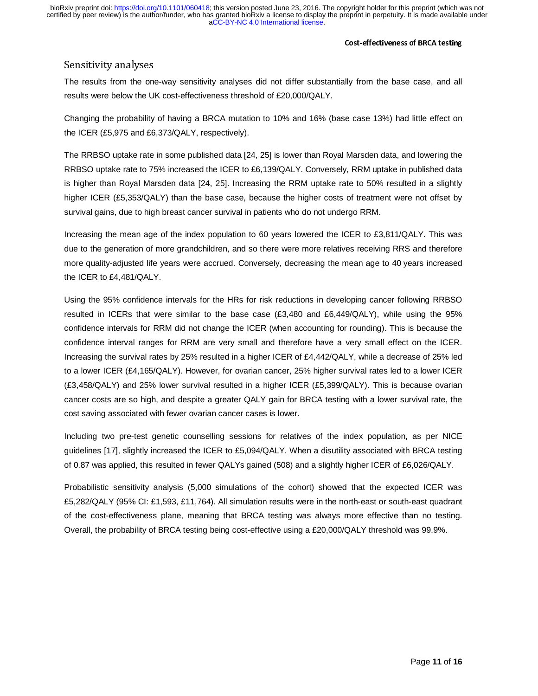### Sensitivity analyses

The results from the one-way sensitivity analyses did not differ substantially from the base case, and all results were below the UK cost-effectiveness threshold of £20,000/QALY.

Changing the probability of having a BRCA mutation to 10% and 16% (base case 13%) had little effect on the ICER (£5,975 and £6,373/QALY, respectively).

The RRBSO uptake rate in some published data [24, 25] is lower than Royal Marsden data, and lowering the RRBSO uptake rate to 75% increased the ICER to £6,139/QALY. Conversely, RRM uptake in published data is higher than Royal Marsden data [24, 25]. Increasing the RRM uptake rate to 50% resulted in a slightly higher ICER (£5,353/QALY) than the base case, because the higher costs of treatment were not offset by survival gains, due to high breast cancer survival in patients who do not undergo RRM.

Increasing the mean age of the index population to 60 years lowered the ICER to £3,811/QALY. This was due to the generation of more grandchildren, and so there were more relatives receiving RRS and therefore more quality-adjusted life years were accrued. Conversely, decreasing the mean age to 40 years increased the ICER to £4,481/QALY.

Using the 95% confidence intervals for the HRs for risk reductions in developing cancer following RRBSO resulted in ICERs that were similar to the base case (£3,480 and £6,449/QALY), while using the 95% confidence intervals for RRM did not change the ICER (when accounting for rounding). This is because the confidence interval ranges for RRM are very small and therefore have a very small effect on the ICER. Increasing the survival rates by 25% resulted in a higher ICER of £4,442/QALY, while a decrease of 25% led to a lower ICER (£4,165/QALY). However, for ovarian cancer, 25% higher survival rates led to a lower ICER (£3,458/QALY) and 25% lower survival resulted in a higher ICER (£5,399/QALY). This is because ovarian cancer costs are so high, and despite a greater QALY gain for BRCA testing with a lower survival rate, the cost saving associated with fewer ovarian cancer cases is lower.

Including two pre-test genetic counselling sessions for relatives of the index population, as per NICE guidelines [17], slightly increased the ICER to £5,094/QALY. When a disutility associated with BRCA testing of 0.87 was applied, this resulted in fewer QALYs gained (508) and a slightly higher ICER of £6,026/QALY.

Probabilistic sensitivity analysis (5,000 simulations of the cohort) showed that the expected ICER was £5,282/QALY (95% CI: £1,593, £11,764). All simulation results were in the north-east or south-east quadrant of the cost-effectiveness plane, meaning that BRCA testing was always more effective than no testing. Overall, the probability of BRCA testing being cost-effective using a £20,000/QALY threshold was 99.9%.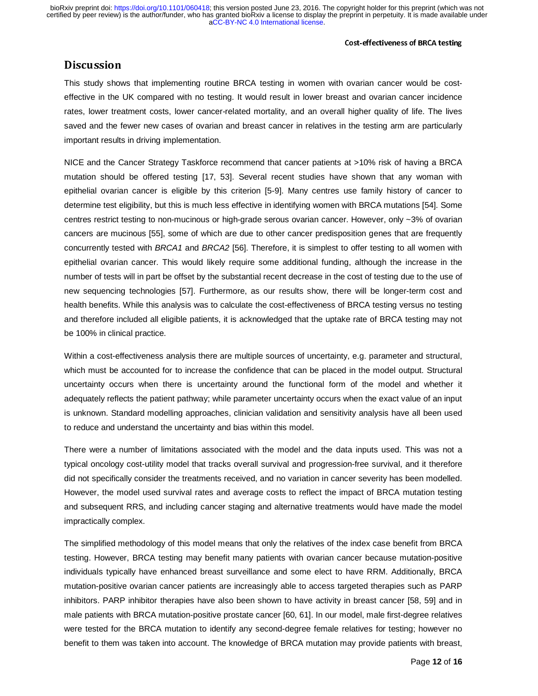#### Cost-effectiveness of BRCA testing

## Discussion in 1990<br>Discussion in 1990

This study shows that implementing routine BRCA testing in women with ovarian cancer would be costeffective in the UK compared with no testing. It would result in lower breast and ovarian cancer incidence rates, lower treatment costs, lower cancer-related mortality, and an overall higher quality of life. The lives saved and the fewer new cases of ovarian and breast cancer in relatives in the testing arm are particularly important results in driving implementation.

NICE and the Cancer Strategy Taskforce recommend that cancer patients at >10% risk of having a BRCA mutation should be offered testing [17, 53]. Several recent studies have shown that any woman with epithelial ovarian cancer is eligible by this criterion [5-9]. Many centres use family history of cancer to determine test eligibility, but this is much less effective in identifying women with BRCA mutations [54]. Some centres restrict testing to non-mucinous or high-grade serous ovarian cancer. However, only ~3% of ovarian cancers are mucinous [55], some of which are due to other cancer predisposition genes that are frequently concurrently tested with *BRCA1* and *BRCA2* [56]. Therefore, it is simplest to offer testing to all women with epithelial ovarian cancer. This would likely require some additional funding, although the increase in the number of tests will in part be offset by the substantial recent decrease in the cost of testing due to the use of new sequencing technologies [57]. Furthermore, as our results show, there will be longer-term cost and health benefits. While this analysis was to calculate the cost-effectiveness of BRCA testing versus no testing and therefore included all eligible patients, it is acknowledged that the uptake rate of BRCA testing may not be 100% in clinical practice.

Within a cost-effectiveness analysis there are multiple sources of uncertainty, e.g. parameter and structural, which must be accounted for to increase the confidence that can be placed in the model output. Structural uncertainty occurs when there is uncertainty around the functional form of the model and whether it adequately reflects the patient pathway; while parameter uncertainty occurs when the exact value of an input is unknown. Standard modelling approaches, clinician validation and sensitivity analysis have all been used to reduce and understand the uncertainty and bias within this model.

There were a number of limitations associated with the model and the data inputs used. This was not a typical oncology cost-utility model that tracks overall survival and progression-free survival, and it therefore did not specifically consider the treatments received, and no variation in cancer severity has been modelled. However, the model used survival rates and average costs to reflect the impact of BRCA mutation testing and subsequent RRS, and including cancer staging and alternative treatments would have made the model impractically complex.

The simplified methodology of this model means that only the relatives of the index case benefit from BRCA testing. However, BRCA testing may benefit many patients with ovarian cancer because mutation-positive individuals typically have enhanced breast surveillance and some elect to have RRM. Additionally, BRCA mutation-positive ovarian cancer patients are increasingly able to access targeted therapies such as PARP inhibitors. PARP inhibitor therapies have also been shown to have activity in breast cancer [58, 59] and in male patients with BRCA mutation-positive prostate cancer [60, 61]. In our model, male first-degree relatives were tested for the BRCA mutation to identify any second-degree female relatives for testing; however no benefit to them was taken into account. The knowledge of BRCA mutation may provide patients with breast,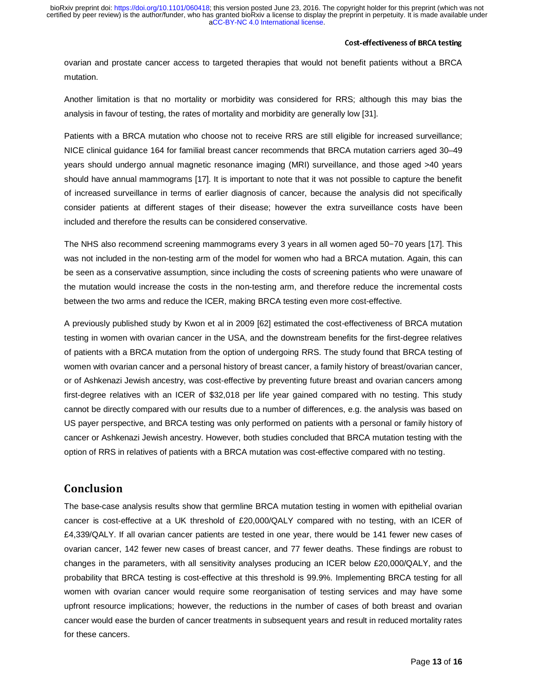#### Cost-effectiveness of BRCA testing

ovarian and prostate cancer access to targeted therapies that would not benefit patients without a BRCA mutation.

Another limitation is that no mortality or morbidity was considered for RRS; although this may bias the analysis in favour of testing, the rates of mortality and morbidity are generally low [31].

Patients with a BRCA mutation who choose not to receive RRS are still eligible for increased surveillance; NICE clinical guidance 164 for familial breast cancer recommends that BRCA mutation carriers aged 30–49 years should undergo annual magnetic resonance imaging (MRI) surveillance, and those aged >40 years should have annual mammograms [17]. It is important to note that it was not possible to capture the benefit of increased surveillance in terms of earlier diagnosis of cancer, because the analysis did not specifically consider patients at different stages of their disease; however the extra surveillance costs have been included and therefore the results can be considered conservative.

The NHS also recommend screening mammograms every 3 years in all women aged 50−70 years [17]. This was not included in the non-testing arm of the model for women who had a BRCA mutation. Again, this can be seen as a conservative assumption, since including the costs of screening patients who were unaware of the mutation would increase the costs in the non-testing arm, and therefore reduce the incremental costs between the two arms and reduce the ICER, making BRCA testing even more cost-effective.

A previously published study by Kwon et al in 2009 [62] estimated the cost-effectiveness of BRCA mutation testing in women with ovarian cancer in the USA, and the downstream benefits for the first-degree relatives of patients with a BRCA mutation from the option of undergoing RRS. The study found that BRCA testing of women with ovarian cancer and a personal history of breast cancer, a family history of breast/ovarian cancer, or of Ashkenazi Jewish ancestry, was cost-effective by preventing future breast and ovarian cancers among first-degree relatives with an ICER of \$32,018 per life year gained compared with no testing. This study cannot be directly compared with our results due to a number of differences, e.g. the analysis was based on US payer perspective, and BRCA testing was only performed on patients with a personal or family history of cancer or Ashkenazi Jewish ancestry. However, both studies concluded that BRCA mutation testing with the option of RRS in relatives of patients with a BRCA mutation was cost-effective compared with no testing.

The base-case analysis results show that germline BRCA mutation testing in women with epithelial ovarian cancer is cost-effective at a UK threshold of £20,000/QALY compared with no testing, with an ICER of £4,339/QALY. If all ovarian cancer patients are tested in one year, there would be 141 fewer new cases of ovarian cancer, 142 fewer new cases of breast cancer, and 77 fewer deaths. These findings are robust to changes in the parameters, with all sensitivity analyses producing an ICER below £20,000/QALY, and the probability that BRCA testing is cost-effective at this threshold is 99.9%. Implementing BRCA testing for all women with ovarian cancer would require some reorganisation of testing services and may have some upfront resource implications; however, the reductions in the number of cases of both breast and ovarian cancer would ease the burden of cancer treatments in subsequent years and result in reduced mortality rates for these cancers.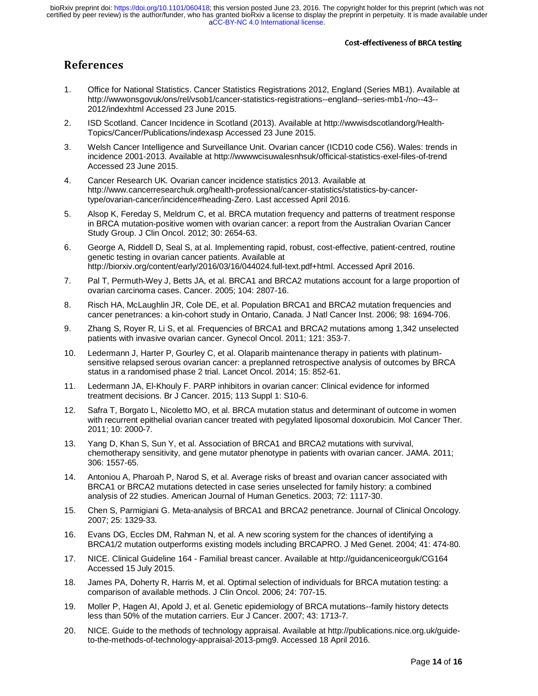- 1. Office for National Statistics. Cancer Statistics Registrations 2012, England (Series MB1). Available at http://wwwonsgovuk/ons/rel/vsob1/cancer-statistics-registrations--england--series-mb1-/no--43-- 2012/indexhtml Accessed 23 June 2015.
- 2. ISD Scotland. Cancer Incidence in Scotland (2013). Available at http://wwwisdscotlandorg/Health-Topics/Cancer/Publications/indexasp Accessed 23 June 2015.
- 3. Welsh Cancer Intelligence and Surveillance Unit. Ovarian cancer (ICD10 code C56). Wales: trends in incidence 2001-2013. Available at http://wwwwcisuwalesnhsuk/officical-statistics-exel-files-of-trend Accessed 23 June 2015.
- 4. Cancer Research UK. Ovarian cancer incidence statistics 2013. Available at http://www.cancerresearchuk.org/health-professional/cancer-statistics/statistics-by-cancertype/ovarian-cancer/incidence#heading-Zero. Last accessed April 2016.
- 5. Alsop K, Fereday S, Meldrum C, et al. BRCA mutation frequency and patterns of treatment response in BRCA mutation-positive women with ovarian cancer: a report from the Australian Ovarian Cancer Study Group. J Clin Oncol. 2012; 30: 2654-63.
- 6. George A, Riddell D, Seal S, at al. Implementing rapid, robust, cost-effective, patient-centred, routine genetic testing in ovarian cancer patients. Available at http://biorxiv.org/content/early/2016/03/16/044024.full-text.pdf+html. Accessed April 2016.
- 7. Pal T, Permuth-Wey J, Betts JA, et al. BRCA1 and BRCA2 mutations account for a large proportion of ovarian carcinoma cases. Cancer. 2005; 104: 2807-16.
- 8. Risch HA, McLaughlin JR, Cole DE, et al. Population BRCA1 and BRCA2 mutation frequencies and cancer penetrances: a kin-cohort study in Ontario, Canada. J Natl Cancer Inst. 2006; 98: 1694-706.
- 9. Zhang S, Royer R, Li S, et al. Frequencies of BRCA1 and BRCA2 mutations among 1,342 unselected patients with invasive ovarian cancer. Gynecol Oncol. 2011; 121: 353-7.
- 10. Ledermann J, Harter P, Gourley C, et al. Olaparib maintenance therapy in patients with platinumsensitive relapsed serous ovarian cancer: a preplanned retrospective analysis of outcomes by BRCA status in a randomised phase 2 trial. Lancet Oncol. 2014; 15: 852-61.
- 11. Ledermann JA, El-Khouly F. PARP inhibitors in ovarian cancer: Clinical evidence for informed treatment decisions. Br J Cancer. 2015; 113 Suppl 1: S10-6.
- 12. Safra T, Borgato L, Nicoletto MO, et al. BRCA mutation status and determinant of outcome in women with recurrent epithelial ovarian cancer treated with pegylated liposomal doxorubicin. Mol Cancer Ther. 2011; 10: 2000-7.
- 13. Yang D, Khan S, Sun Y, et al. Association of BRCA1 and BRCA2 mutations with survival, chemotherapy sensitivity, and gene mutator phenotype in patients with ovarian cancer. JAMA. 2011; 306: 1557-65.
- 14. Antoniou A, Pharoah P, Narod S, et al. Average risks of breast and ovarian cancer associated with BRCA1 or BRCA2 mutations detected in case series unselected for family history: a combined analysis of 22 studies. American Journal of Human Genetics. 2003; 72: 1117-30.
- 15. Chen S, Parmigiani G. Meta-analysis of BRCA1 and BRCA2 penetrance. Journal of Clinical Oncology. 2007; 25: 1329-33.
- 16. Evans DG, Eccles DM, Rahman N, et al. A new scoring system for the chances of identifying a BRCA1/2 mutation outperforms existing models including BRCAPRO. J Med Genet. 2004; 41: 474-80.
- 17. NICE. Clinical Guideline 164 Familial breast cancer. Available at http://guidanceniceorguk/CG164 Accessed 15 July 2015.
- 18. James PA, Doherty R, Harris M, et al. Optimal selection of individuals for BRCA mutation testing: a comparison of available methods. J Clin Oncol. 2006; 24: 707-15.
- 19. Moller P, Hagen AI, Apold J, et al. Genetic epidemiology of BRCA mutations--family history detects less than 50% of the mutation carriers. Eur J Cancer. 2007; 43: 1713-7.
- 20. NICE. Guide to the methods of technology appraisal. Available at http://publications.nice.org.uk/guideto-the-methods-of-technology-appraisal-2013-pmg9. Accessed 18 April 2016.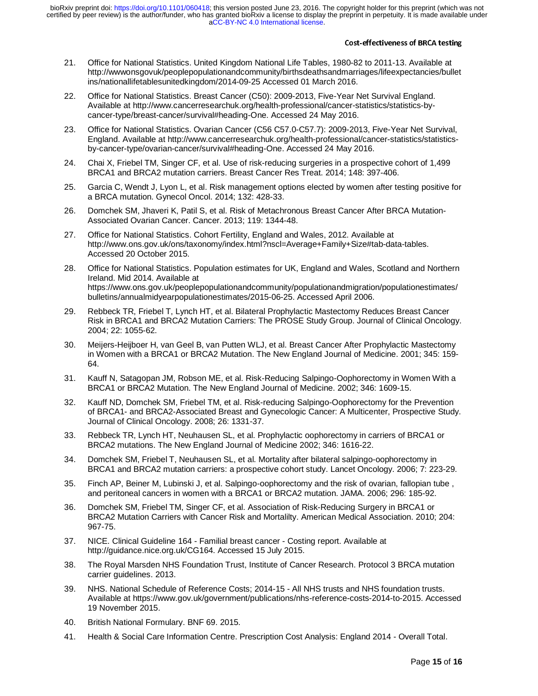- 21. Office for National Statistics. United Kingdom National Life Tables, 1980-82 to 2011-13. Available at http://wwwonsgovuk/peoplepopulationandcommunity/birthsdeathsandmarriages/lifeexpectancies/bullet ins/nationallifetablesunitedkingdom/2014-09-25 Accessed 01 March 2016.
- 22. Office for National Statistics. Breast Cancer (C50): 2009-2013, Five-Year Net Survival England. Available at http://www.cancerresearchuk.org/health-professional/cancer-statistics/statistics-bycancer-type/breast-cancer/survival#heading-One. Accessed 24 May 2016.
- 23. Office for National Statistics. Ovarian Cancer (C56 C57.0-C57.7): 2009-2013, Five-Year Net Survival, England. Available at http://www.cancerresearchuk.org/health-professional/cancer-statistics/statisticsby-cancer-type/ovarian-cancer/survival#heading-One. Accessed 24 May 2016.
- 24. Chai X, Friebel TM, Singer CF, et al. Use of risk-reducing surgeries in a prospective cohort of 1,499 BRCA1 and BRCA2 mutation carriers. Breast Cancer Res Treat. 2014; 148: 397-406.
- 25. Garcia C, Wendt J, Lyon L, et al. Risk management options elected by women after testing positive for a BRCA mutation. Gynecol Oncol. 2014; 132: 428-33.
- 26. Domchek SM, Jhaveri K, Patil S, et al. Risk of Metachronous Breast Cancer After BRCA Mutation-Associated Ovarian Cancer. Cancer. 2013; 119: 1344-48.
- 27. Office for National Statistics. Cohort Fertility, England and Wales, 2012. Available at http://www.ons.gov.uk/ons/taxonomy/index.html?nscl=Average+Family+Size#tab-data-tables. Accessed 20 October 2015.
- 28. Office for National Statistics. Population estimates for UK, England and Wales, Scotland and Northern Ireland. Mid 2014. Available at https://www.ons.gov.uk/peoplepopulationandcommunity/populationandmigration/populationestimates/ bulletins/annualmidyearpopulationestimates/2015-06-25. Accessed April 2006.
- 29. Rebbeck TR, Friebel T, Lynch HT, et al. Bilateral Prophylactic Mastectomy Reduces Breast Cancer Risk in BRCA1 and BRCA2 Mutation Carriers: The PROSE Study Group. Journal of Clinical Oncology. 2004; 22: 1055-62.
- 30. Meijers-Heijboer H, van Geel B, van Putten WLJ, et al. Breast Cancer After Prophylactic Mastectomy in Women with a BRCA1 or BRCA2 Mutation. The New England Journal of Medicine. 2001; 345: 159- 64.
- 31. Kauff N, Satagopan JM, Robson ME, et al. Risk-Reducing Salpingo-Oophorectomy in Women With a BRCA1 or BRCA2 Mutation. The New England Journal of Medicine. 2002; 346: 1609-15.
- 32. Kauff ND, Domchek SM, Friebel TM, et al. Risk-reducing Salpingo-Oophorectomy for the Prevention of BRCA1- and BRCA2-Associated Breast and Gynecologic Cancer: A Multicenter, Prospective Study. Journal of Clinical Oncology. 2008; 26: 1331-37.
- 33. Rebbeck TR, Lynch HT, Neuhausen SL, et al. Prophylactic oophorectomy in carriers of BRCA1 or BRCA2 mutations. The New England Journal of Medicine 2002; 346: 1616-22.
- 34. Domchek SM, Friebel T, Neuhausen SL, et al. Mortality after bilateral salpingo-oophorectomy in BRCA1 and BRCA2 mutation carriers: a prospective cohort study. Lancet Oncology. 2006; 7: 223-29.
- 35. Finch AP, Beiner M, Lubinski J, et al. Salpingo-oophorectomy and the risk of ovarian, fallopian tube , and peritoneal cancers in women with a BRCA1 or BRCA2 mutation. JAMA. 2006; 296: 185-92.
- 36. Domchek SM, Friebel TM, Singer CF, et al. Association of Risk-Reducing Surgery in BRCA1 or BRCA2 Mutation Carriers with Cancer Risk and Mortalilty. American Medical Association. 2010; 204: 967-75.
- 37. NICE. Clinical Guideline 164 Familial breast cancer Costing report. Available at http://guidance.nice.org.uk/CG164. Accessed 15 July 2015.
- 38. The Royal Marsden NHS Foundation Trust, Institute of Cancer Research. Protocol 3 BRCA mutation carrier guidelines. 2013.
- 39. NHS. National Schedule of Reference Costs; 2014-15 All NHS trusts and NHS foundation trusts. Available at https://www.gov.uk/government/publications/nhs-reference-costs-2014-to-2015. Accessed 19 November 2015.
- 40. British National Formulary. BNF 69. 2015.
- 41. Health & Social Care Information Centre. Prescription Cost Analysis: England 2014 Overall Total.